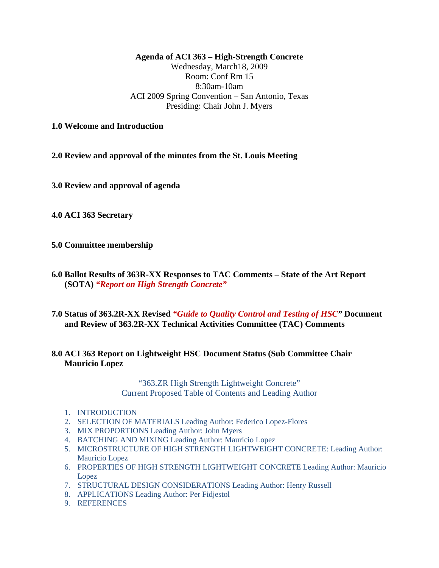**Agenda of ACI 363 – High-Strength Concrete** 

Wednesday, March18, 2009 Room: Conf Rm 15 8:30am-10am ACI 2009 Spring Convention – San Antonio, Texas Presiding: Chair John J. Myers

**1.0 Welcome and Introduction** 

**2.0 Review and approval of the minutes from the St. Louis Meeting** 

**3.0 Review and approval of agenda**

**4.0 ACI 363 Secretary** 

**5.0 Committee membership** 

- **6.0 Ballot Results of 363R-XX Responses to TAC Comments State of the Art Report (SOTA)** *"Report on High Strength Concrete"*
- **7.0 Status of 363.2R-XX Revised** *"Guide to Quality Control and Testing of HSC"* **Document and Review of 363.2R-XX Technical Activities Committee (TAC) Comments**

## **8.0 ACI 363 Report on Lightweight HSC Document Status (Sub Committee Chair Mauricio Lopez**

"363.ZR High Strength Lightweight Concrete" Current Proposed Table of Contents and Leading Author

- 1. INTRODUCTION
- 2. SELECTION OF MATERIALS Leading Author: Federico Lopez-Flores
- 3. MIX PROPORTIONS Leading Author: John Myers
- 4. BATCHING AND MIXING Leading Author: Mauricio Lopez
- 5. MICROSTRUCTURE OF HIGH STRENGTH LIGHTWEIGHT CONCRETE: Leading Author: Mauricio Lopez
- 6. PROPERTIES OF HIGH STRENGTH LIGHTWEIGHT CONCRETE Leading Author: Mauricio Lopez
- 7. STRUCTURAL DESIGN CONSIDERATIONS Leading Author: Henry Russell
- 8. APPLICATIONS Leading Author: Per Fidjestol
- 9. REFERENCES